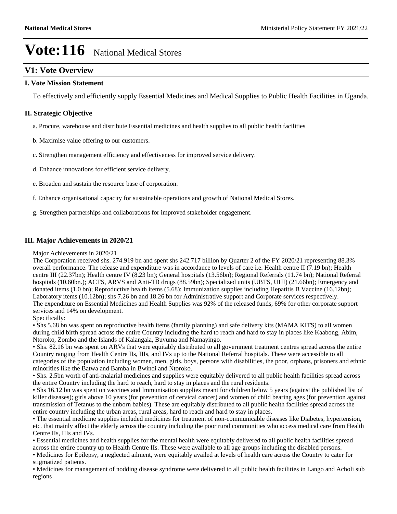## **V1: Vote Overview**

### **I. Vote Mission Statement**

To effectively and efficiently supply Essential Medicines and Medical Supplies to Public Health Facilities in Uganda.

### **II. Strategic Objective**

- a. Procure, warehouse and distribute Essential medicines and health supplies to all public health facilities
- b. Maximise value offering to our customers.
- c. Strengthen management efficiency and effectiveness for improved service delivery.
- d. Enhance innovations for efficient service delivery.
- e. Broaden and sustain the resource base of corporation.
- f. Enhance organisational capacity for sustainable operations and growth of National Medical Stores.
- g. Strengthen partnerships and collaborations for improved stakeholder engagement.

### **III. Major Achievements in 2020/21**

#### Major Achievements in 2020/21

The Corporation received shs. 274.919 bn and spent shs 242.717 billion by Quarter 2 of the FY 2020/21 representing 88.3% overall performance. The release and expenditure was in accordance to levels of care i.e. Health centre II (7.19 bn); Health centre III (22.37bn); Health centre IV (8.23 bn); General hospitals (13.56bn); Regional Referrals (11.74 bn); National Referral hospitals (10.60bn.); ACTS, ARVS and Anti-TB drugs (88.59bn); Specialized units (UBTS, UHI) (21.66bn); Emergency and donated items (1.0 bn); Reproductive health items (5.68); Immunization supplies including Hepatitis B Vaccine (16.12bn); Laboratory items (10.12bn); shs 7.26 bn and 18.26 bn for Administrative support and Corporate services respectively. The expenditure on Essential Medicines and Health Supplies was 92% of the released funds, 69% for other corporate support services and 14% on development.

#### Specifically:

• Shs 5.68 bn was spent on reproductive health items (family planning) and safe delivery kits (MAMA KITS) to all women during child birth spread across the entire Country including the hard to reach and hard to stay in places like Kaabong, Abim, Ntoroko, Zombo and the Islands of Kalangala, Buvuma and Namayingo.

• Shs. 82.16 bn was spent on ARVs that were equitably distributed to all government treatment centres spread across the entire Country ranging from Health Centre IIs, IIIs, and IVs up to the National Referral hospitals. These were accessible to all categories of the population including women, men, girls, boys, persons with disabilities, the poor, orphans, prisoners and ethnic minorities like the Batwa and Bamba in Bwindi and Ntoroko.

• Shs. 2.5bn worth of anti-malarial medicines and supplies were equitably delivered to all public health facilities spread across the entire Country including the hard to reach, hard to stay in places and the rural residents.

• Shs 16.12 bn was spent on vaccines and Immunisation supplies meant for children below 5 years (against the published list of killer diseases); girls above 10 years (for prevention of cervical cancer) and women of child bearing ages (for prevention against transmission of Tetanus to the unborn babies). These are equitably distributed to all public health facilities spread across the entire country including the urban areas, rural areas, hard to reach and hard to stay in places.

The essential medicine supplies included medicines for treatment of non-communicable diseases like Diabetes, hypertension, etc. that mainly affect the elderly across the country including the poor rural communities who access medical care from Health Centre IIs, IIIs and IVs.

Essential medicines and health supplies for the mental health were equitably delivered to all public health facilities spread across the entire country up to Health Centre IIs. These were available to all age groups including the disabled persons.

Medicines for Epilepsy, a neglected ailment, were equitably availed at levels of health care across the Country to cater for stigmatized patients.

Medicines for management of nodding disease syndrome were delivered to all public health facilities in Lango and Acholi sub regions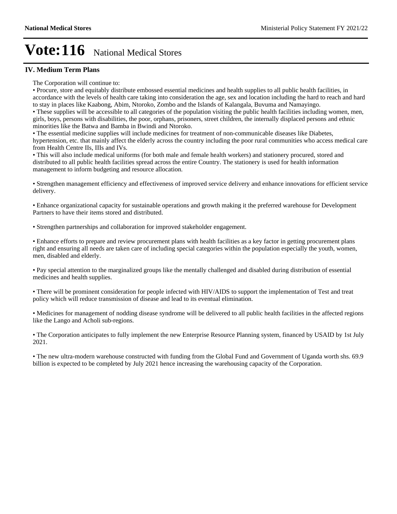### **IV. Medium Term Plans**

The Corporation will continue to:

Procure, store and equitably distribute embossed essential medicines and health supplies to all public health facilities, in accordance with the levels of health care taking into consideration the age, sex and location including the hard to reach and hard to stay in places like Kaabong, Abim, Ntoroko, Zombo and the Islands of Kalangala, Buvuma and Namayingo.

These supplies will be accessible to all categories of the population visiting the public health facilities including women, men, girls, boys, persons with disabilities, the poor, orphans, prisoners, street children, the internally displaced persons and ethnic minorities like the Batwa and Bamba in Bwindi and Ntoroko.

The essential medicine supplies will include medicines for treatment of non-communicable diseases like Diabetes, hypertension, etc. that mainly affect the elderly across the country including the poor rural communities who access medical care from Health Centre IIs, IIIs and IVs.

This will also include medical uniforms (for both male and female health workers) and stationery procured, stored and distributed to all public health facilities spread across the entire Country. The stationery is used for health information management to inform budgeting and resource allocation.

Strengthen management efficiency and effectiveness of improved service delivery and enhance innovations for efficient service delivery.

Enhance organizational capacity for sustainable operations and growth making it the preferred warehouse for Development Partners to have their items stored and distributed.

Strengthen partnerships and collaboration for improved stakeholder engagement.

Enhance efforts to prepare and review procurement plans with health facilities as a key factor in getting procurement plans right and ensuring all needs are taken care of including special categories within the population especially the youth, women, men, disabled and elderly.

• Pay special attention to the marginalized groups like the mentally challenged and disabled during distribution of essential medicines and health supplies.

There will be prominent consideration for people infected with HIV/AIDS to support the implementation of Test and treat policy which will reduce transmission of disease and lead to its eventual elimination.

Medicines for management of nodding disease syndrome will be delivered to all public health facilities in the affected regions like the Lango and Acholi sub-regions.

The Corporation anticipates to fully implement the new Enterprise Resource Planning system, financed by USAID by 1st July 2021.

The new ultra-modern warehouse constructed with funding from the Global Fund and Government of Uganda worth shs. 69.9 billion is expected to be completed by July 2021 hence increasing the warehousing capacity of the Corporation.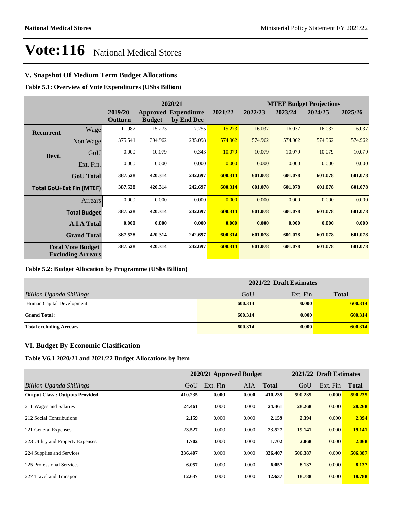## **V. Snapshot Of Medium Term Budget Allocations**

**Table 5.1: Overview of Vote Expenditures (UShs Billion)**

|                  |                                                      |                    | 2020/21       |                                           |         |         | <b>MTEF Budget Projections</b> |         |         |
|------------------|------------------------------------------------------|--------------------|---------------|-------------------------------------------|---------|---------|--------------------------------|---------|---------|
|                  |                                                      | 2019/20<br>Outturn | <b>Budget</b> | <b>Approved Expenditure</b><br>by End Dec | 2021/22 | 2022/23 | 2023/24                        | 2024/25 | 2025/26 |
| <b>Recurrent</b> | Wage                                                 | 11.987             | 15.273        | 7.255                                     | 15.273  | 16.037  | 16.037                         | 16.037  | 16.037  |
|                  | Non Wage                                             | 375.541            | 394.962       | 235.098                                   | 574.962 | 574.962 | 574.962                        | 574.962 | 574.962 |
| Devt.            | GoU                                                  | 0.000              | 10.079        | 0.343                                     | 10.079  | 10.079  | 10.079                         | 10.079  | 10.079  |
|                  | Ext. Fin.                                            | 0.000              | 0.000         | 0.000                                     | 0.000   | 0.000   | 0.000                          | 0.000   | 0.000   |
|                  | <b>GoU</b> Total                                     | 387.528            | 420.314       | 242.697                                   | 600.314 | 601.078 | 601.078                        | 601.078 | 601.078 |
|                  | <b>Total GoU+Ext Fin (MTEF)</b>                      | 387.528            | 420.314       | 242.697                                   | 600.314 | 601.078 | 601.078                        | 601.078 | 601.078 |
|                  | Arrears                                              | 0.000              | 0.000         | 0.000                                     | 0.000   | 0.000   | 0.000                          | 0.000   | 0.000   |
|                  | <b>Total Budget</b>                                  | 387.528            | 420.314       | 242.697                                   | 600.314 | 601.078 | 601.078                        | 601.078 | 601.078 |
|                  | <b>A.I.A Total</b>                                   | 0.000              | 0.000         | 0.000                                     | 0.000   | 0.000   | 0.000                          | 0.000   | 0.000   |
|                  | <b>Grand Total</b>                                   | 387.528            | 420.314       | 242.697                                   | 600.314 | 601.078 | 601.078                        | 601.078 | 601.078 |
|                  | <b>Total Vote Budget</b><br><b>Excluding Arrears</b> | 387.528            | 420.314       | 242.697                                   | 600.314 | 601.078 | 601.078                        | 601.078 | 601.078 |

#### **Table 5.2: Budget Allocation by Programme (UShs Billion)**

|                                 | 2021/22 Draft Estimates |          |              |
|---------------------------------|-------------------------|----------|--------------|
| <b>Billion Uganda Shillings</b> | GoU                     | Ext. Fin | <b>Total</b> |
| Human Capital Development       | 600.314                 | 0.000    | 600.314      |
| <b>Grand Total:</b>             | 600.314                 | 0.000    | 600.314      |
| <b>Total excluding Arrears</b>  | 600.314                 | 0.000    | 600.314      |

## **VI. Budget By Economic Clasification**

**Table V6.1 2020/21 and 2021/22 Budget Allocations by Item**

|                                       | 2020/21 Approved Budget |          |       |              | 2021/22 Draft Estimates |          |              |
|---------------------------------------|-------------------------|----------|-------|--------------|-------------------------|----------|--------------|
| Billion Uganda Shillings              | GoU                     | Ext. Fin | AIA   | <b>Total</b> | GoU                     | Ext. Fin | <b>Total</b> |
| <b>Output Class: Outputs Provided</b> | 410.235                 | 0.000    | 0.000 | 410.235      | 590.235                 | 0.000    | 590.235      |
| 211 Wages and Salaries                | 24.461                  | 0.000    | 0.000 | 24.461       | 28.268                  | 0.000    | 28.268       |
| 212 Social Contributions              | 2.159                   | 0.000    | 0.000 | 2.159        | 2.394                   | 0.000    | 2.394        |
| 221 General Expenses                  | 23.527                  | 0.000    | 0.000 | 23.527       | 19.141                  | 0.000    | 19.141       |
| 223 Utility and Property Expenses     | 1.702                   | 0.000    | 0.000 | 1.702        | 2.068                   | 0.000    | 2.068        |
| 224 Supplies and Services             | 336.407                 | 0.000    | 0.000 | 336.407      | 506.387                 | 0.000    | 506.387      |
| 225 Professional Services             | 6.057                   | 0.000    | 0.000 | 6.057        | 8.137                   | 0.000    | 8.137        |
| 227 Travel and Transport              | 12.637                  | 0.000    | 0.000 | 12.637       | 18.788                  | 0.000    | 18.788       |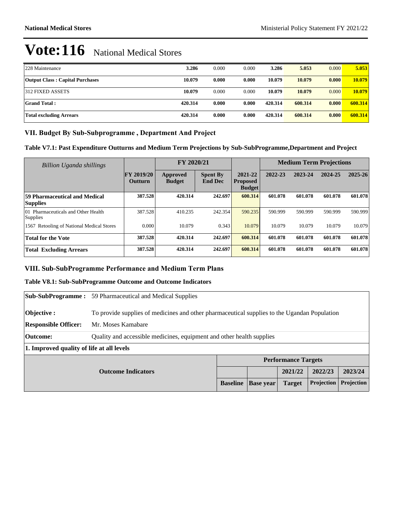| 228 Maintenance                        | 3.286   | 0.000 | 0.000 | 3.286   | 5.053   | 0.000 | 5.053   |
|----------------------------------------|---------|-------|-------|---------|---------|-------|---------|
| <b>Output Class: Capital Purchases</b> | 10.079  | 0.000 | 0.000 | 10.079  | 10.079  | 0.000 | 10.079  |
| 312 FIXED ASSETS                       | 10.079  | 0.000 | 0.000 | 10.079  | 10.079  | 0.000 | 10.079  |
| Grand Total :                          | 420.314 | 0.000 | 0.000 | 420.314 | 600.314 | 0.000 | 600.314 |
| Total excluding Arrears                | 420.314 | 0.000 | 0.000 | 420.314 | 600.314 | 0.000 | 600.314 |

## VII. Budget By Sub-Subprogramme, Department And Project

**Table V7.1: Past Expenditure Outturns and Medium Term Projections by Sub-SubProgramme,Department and Project**

| Billion Uganda shillings                               |                                     | FY 2020/21                |                                   |                                             | <b>Medium Term Projections</b> |         |         |             |
|--------------------------------------------------------|-------------------------------------|---------------------------|-----------------------------------|---------------------------------------------|--------------------------------|---------|---------|-------------|
|                                                        | <b>FY 2019/20</b><br><b>Outturn</b> | Approved<br><b>Budget</b> | <b>Spent By</b><br><b>End Dec</b> | 2021-22<br><b>Proposed</b><br><b>Budget</b> | 2022-23                        | 2023-24 | 2024-25 | $2025 - 26$ |
| 59 Pharmaceutical and Medical<br><b>Supplies</b>       | 387.528                             | 420.314                   | 242.697                           | 600.314                                     | 601.078                        | 601.078 | 601.078 | 601.078     |
| 01 Pharmaceuticals and Other Health<br><b>Supplies</b> | 387.528                             | 410.235                   | 242.354                           | 590.235                                     | 590.999                        | 590.999 | 590.999 | 590.999     |
| <b>Retooling of National Medical Stores</b><br>1567    | 0.000                               | 10.079                    | 0.343                             | 10.079                                      | 10.079                         | 10.079  | 10.079  | 10.079      |
| <b>Total for the Vote</b>                              | 387.528                             | 420.314                   | 242.697                           | 600.314                                     | 601.078                        | 601.078 | 601.078 | 601.078     |
| <b>Total Excluding Arrears</b>                         | 387.528                             | 420.314                   | 242.697                           | 600.314                                     | 601.078                        | 601.078 | 601.078 | 601.078     |

## **VIII. Sub-SubProgramme Performance and Medium Term Plans**

#### **Table V8.1: Sub-SubProgramme Outcome and Outcome Indicators**

|                                           | <b>Sub-SubProgramme:</b> 59 Pharmaceutical and Medical Supplies                              |                 |                  |                            |            |            |  |
|-------------------------------------------|----------------------------------------------------------------------------------------------|-----------------|------------------|----------------------------|------------|------------|--|
| Objective :                               | To provide supplies of medicines and other pharmaceutical supplies to the Ugandan Population |                 |                  |                            |            |            |  |
| <b>Responsible Officer:</b>               | Mr. Moses Kamabare                                                                           |                 |                  |                            |            |            |  |
| <b>Outcome:</b>                           | Quality and accessible medicines, equipment and other health supplies                        |                 |                  |                            |            |            |  |
| 1. Improved quality of life at all levels |                                                                                              |                 |                  |                            |            |            |  |
|                                           |                                                                                              |                 |                  | <b>Performance Targets</b> |            |            |  |
| <b>Outcome Indicators</b>                 |                                                                                              |                 |                  | 2021/22                    | 2022/23    | 2023/24    |  |
|                                           |                                                                                              | <b>Baseline</b> | <b>Base year</b> | <b>Target</b>              | Projection | Projection |  |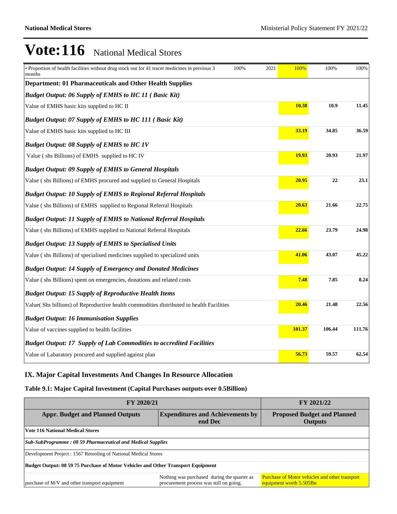| • Proportion of health facilities without drug stock out for 41 tracer medicines in previous 3<br>100%<br>2021<br>months | 100%   | 100%   | 100%   |  |  |  |  |  |
|--------------------------------------------------------------------------------------------------------------------------|--------|--------|--------|--|--|--|--|--|
| <b>Department: 01 Pharmaceuticals and Other Health Supplies</b>                                                          |        |        |        |  |  |  |  |  |
| <b>Budget Output: 06 Supply of EMHS to HC 11 ( Basic Kit)</b>                                                            |        |        |        |  |  |  |  |  |
| Value of EMHS basic kits supplied to HC II                                                                               | 10.38  | 10.9   | 11.45  |  |  |  |  |  |
| <b>Budget Output: 07 Supply of EMHS to HC 111 ( Basic Kit)</b>                                                           |        |        |        |  |  |  |  |  |
| Value of EMHS basic kits supplied to HC III                                                                              | 33.19  | 34.85  | 36.59  |  |  |  |  |  |
| <b>Budget Output: 08 Supply of EMHS to HC 1V</b>                                                                         |        |        |        |  |  |  |  |  |
| Value (shs Billions) of EMHS supplied to HC IV                                                                           | 19.93  | 20.93  | 21.97  |  |  |  |  |  |
| <b>Budget Output: 09 Supply of EMHS to General Hospitals</b>                                                             |        |        |        |  |  |  |  |  |
| Value (shs Billions) of EMHS procured and supplied to General Hospitals                                                  | 20.95  | 22     | 23.1   |  |  |  |  |  |
| <b>Budget Output: 10 Supply of EMHS to Regional Referral Hospitals</b>                                                   |        |        |        |  |  |  |  |  |
| Value (shs Billions) of EMHS supplied to Regional Referral Hospitals                                                     | 20.63  | 21.66  | 22.75  |  |  |  |  |  |
| <b>Budget Output: 11 Supply of EMHS to National Referral Hospitals</b>                                                   |        |        |        |  |  |  |  |  |
| Value (shs Billions) of EMHS supplied to National Referral Hospitals                                                     | 22.66  | 23.79  | 24.98  |  |  |  |  |  |
| <b>Budget Output: 13 Supply of EMHS to Specialised Units</b>                                                             |        |        |        |  |  |  |  |  |
| Value (shs Billions) of specialised medicines supplied to specialized units                                              | 41.06  | 43.07  | 45.22  |  |  |  |  |  |
| <b>Budget Output: 14 Supply of Emergency and Donated Medicines</b>                                                       |        |        |        |  |  |  |  |  |
| Value (shs Billions) spent on emergencies, donations and related costs                                                   | 7.48   | 7.85   | 8.24   |  |  |  |  |  |
| <b>Budget Output: 15 Supply of Reproductive Health Items</b>                                                             |        |        |        |  |  |  |  |  |
| Value(Shs billions) of Reproductive health commodities distributed to health Facilities                                  | 20.46  | 21.48  | 22.56  |  |  |  |  |  |
| <b>Budget Output: 16 Immunisation Supplies</b>                                                                           |        |        |        |  |  |  |  |  |
| Value of vaccines supplied to health facilities                                                                          | 101.37 | 106.44 | 111.76 |  |  |  |  |  |
| <b>Budget Output: 17 Supply of Lab Commodities to accredited Facilities</b>                                              |        |        |        |  |  |  |  |  |
| Value of Labaratory procured and supplied against plan                                                                   | 56.73  | 59.57  | 62.54  |  |  |  |  |  |

## **IX. Major Capital Investments And Changes In Resource Allocation**

## **Table 9.1: Major Capital Investment (Capital Purchases outputs over 0.5Billion)**

| FY 2020/21                                                                       | FY 2021/22                                                                             |                                                                                  |  |  |  |  |  |
|----------------------------------------------------------------------------------|----------------------------------------------------------------------------------------|----------------------------------------------------------------------------------|--|--|--|--|--|
| <b>Appr. Budget and Planned Outputs</b>                                          | <b>Proposed Budget and Planned</b><br><b>Outputs</b>                                   |                                                                                  |  |  |  |  |  |
| <b>Vote 116 National Medical Stores</b>                                          |                                                                                        |                                                                                  |  |  |  |  |  |
| <b>Sub-SubProgramme: 08 59 Pharmaceutical and Medical Supplies</b>               |                                                                                        |                                                                                  |  |  |  |  |  |
| Development Project : 1567 Retooling of National Medical Stores                  |                                                                                        |                                                                                  |  |  |  |  |  |
| Budget Output: 08 59 75 Purchase of Motor Vehicles and Other Transport Equipment |                                                                                        |                                                                                  |  |  |  |  |  |
| purchase of M/V and other transport equipment                                    | Nothing was purchased during the quarter as<br>procurement process was still on going. | <b>Purchase of Motor vehicles and other transport</b><br>equipment worth 5.505Bn |  |  |  |  |  |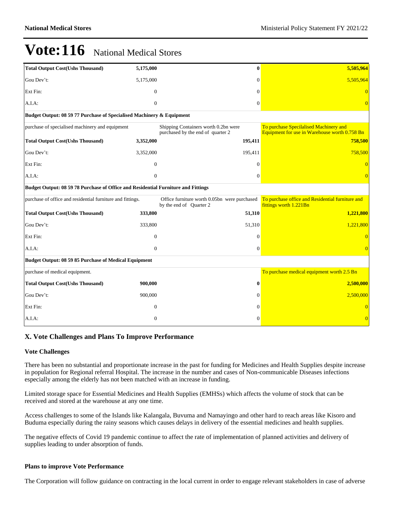| <b>Total Output Cost(Ushs Thousand)</b>                                           | 5,175,000      | $\bf{0}$                                                                  | 5,505,964                                                                               |  |  |  |  |  |
|-----------------------------------------------------------------------------------|----------------|---------------------------------------------------------------------------|-----------------------------------------------------------------------------------------|--|--|--|--|--|
| Gou Dev't:                                                                        | 5,175,000      | 0                                                                         | 5,505,964                                                                               |  |  |  |  |  |
| Ext Fin:                                                                          | $\mathbf{0}$   | $\Omega$                                                                  |                                                                                         |  |  |  |  |  |
| A.I.A:                                                                            | $\overline{0}$ | $\theta$                                                                  | $\overline{0}$                                                                          |  |  |  |  |  |
| Budget Output: 08 59 77 Purchase of Specialised Machinery & Equipment             |                |                                                                           |                                                                                         |  |  |  |  |  |
| purchase of specialised machinery and equipment                                   |                | Shipping Containers worth 0.2bn were<br>purchased by the end of quarter 2 | To purchase Specilalised Machinery and<br>Equipment for use in Warehouse worth 0.758 Bn |  |  |  |  |  |
| <b>Total Output Cost(Ushs Thousand)</b>                                           | 3,352,000      | 195,411                                                                   | 758,500                                                                                 |  |  |  |  |  |
| Gou Dev't:                                                                        | 3,352,000      | 195,411                                                                   | 758,500                                                                                 |  |  |  |  |  |
| Ext Fin:                                                                          | $\mathbf{0}$   | 0                                                                         | $\Omega$                                                                                |  |  |  |  |  |
| A.I.A:                                                                            | $\mathbf{0}$   | $\theta$                                                                  |                                                                                         |  |  |  |  |  |
| Budget Output: 08 59 78 Purchase of Office and Residential Furniture and Fittings |                |                                                                           |                                                                                         |  |  |  |  |  |
| purchase of office and residential furniture and fittings.                        |                | Office furniture worth 0.05bn were purchased<br>by the end of Quarter 2   | To purchase office and Residential furniture and<br>fittings worth 1.221Bn              |  |  |  |  |  |
| <b>Total Output Cost(Ushs Thousand)</b>                                           | 333,800        | 51,310                                                                    | 1,221,800                                                                               |  |  |  |  |  |
| Gou Dev't:                                                                        | 333,800        | 51,310                                                                    | 1,221,800                                                                               |  |  |  |  |  |
| Ext Fin:                                                                          | $\Omega$       | $\Omega$                                                                  | $\Omega$                                                                                |  |  |  |  |  |
| A.I.A:                                                                            | $\Omega$       | $\Omega$                                                                  | $\Omega$                                                                                |  |  |  |  |  |
| <b>Budget Output: 08 59 85 Purchase of Medical Equipment</b>                      |                |                                                                           |                                                                                         |  |  |  |  |  |
| purchase of medical equipment.                                                    |                |                                                                           | To purchase medical equipment worth 2.5 Bn                                              |  |  |  |  |  |
| <b>Total Output Cost(Ushs Thousand)</b>                                           | 900,000        | 0                                                                         | 2,500,000                                                                               |  |  |  |  |  |
| Gou Dev't:                                                                        | 900,000        | 0                                                                         | 2,500,000                                                                               |  |  |  |  |  |
| Ext Fin:                                                                          | $\mathbf{0}$   | $\Omega$                                                                  | $\Omega$                                                                                |  |  |  |  |  |
| A.I.A.                                                                            | $\mathbf{0}$   | 0                                                                         | $\Omega$                                                                                |  |  |  |  |  |

## **X. Vote Challenges and Plans To Improve Performance**

#### **Vote Challenges**

There has been no substantial and proportionate increase in the past for funding for Medicines and Health Supplies despite increase in population for Regional referral Hospital. The increase in the number and cases of Non-communicable Diseases infections especially among the elderly has not been matched with an increase in funding.

Limited storage space for Essential Medicines and Health Supplies (EMHSs) which affects the volume of stock that can be received and stored at the warehouse at any one time.

Access challenges to some of the Islands like Kalangala, Buvuma and Namayingo and other hard to reach areas like Kisoro and Buduma especially during the rainy seasons which causes delays in delivery of the essential medicines and health supplies.

The negative effects of Covid 19 pandemic continue to affect the rate of implementation of planned activities and delivery of supplies leading to under absorption of funds.

#### **Plans to improve Vote Performance**

The Corporation will follow guidance on contracting in the local current in order to engage relevant stakeholders in case of adverse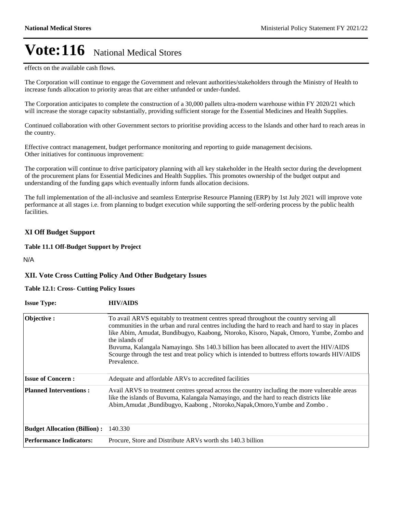effects on the available cash flows.

The Corporation will continue to engage the Government and relevant authorities/stakeholders through the Ministry of Health to increase funds allocation to priority areas that are either unfunded or under-funded.

The Corporation anticipates to complete the construction of a 30,000 pallets ultra-modern warehouse within FY 2020/21 which will increase the storage capacity substantially, providing sufficient storage for the Essential Medicines and Health Supplies.

Continued collaboration with other Government sectors to prioritise providing access to the Islands and other hard to reach areas in the country.

Effective contract management, budget performance monitoring and reporting to guide management decisions. Other initiatives for continuous improvement:

The corporation will continue to drive participatory planning with all key stakeholder in the Health sector during the development of the procurement plans for Essential Medicines and Health Supplies. This promotes ownership of the budget output and understanding of the funding gaps which eventually inform funds allocation decisions.

The full implementation of the all-inclusive and seamless Enterprise Resource Planning (ERP) by 1st July 2021 will improve vote performance at all stages i.e. from planning to budget execution while supporting the self-ordering process by the public health facilities.

## **XI Off Budget Support**

**Table 11.1 Off-Budget Support by Project**

N/A

## **XII. Vote Cross Cutting Policy And Other Budgetary Issues**

#### **Table 12.1: Cross- Cutting Policy Issues**

| <b>Issue Type:</b>                  | <b>HIV/AIDS</b>                                                                                                                                                                                                                                                                                                                                                                                                                                                                                                        |
|-------------------------------------|------------------------------------------------------------------------------------------------------------------------------------------------------------------------------------------------------------------------------------------------------------------------------------------------------------------------------------------------------------------------------------------------------------------------------------------------------------------------------------------------------------------------|
| Objective:                          | To avail ARVS equitably to treatment centres spread throughout the country serving all<br>communities in the urban and rural centres including the hard to reach and hard to stay in places<br>like Abim, Amudat, Bundibugyo, Kaabong, Ntoroko, Kisoro, Napak, Omoro, Yumbe, Zombo and<br>the islands of<br>Buvuma, Kalangala Namayingo. Shs 140.3 billion has been allocated to avert the HIV/AIDS<br>Scourge through the test and treat policy which is intended to buttress efforts towards HIV/AIDS<br>Prevalence. |
| <b>Issue of Concern:</b>            | Adequate and affordable ARVs to accredited facilities                                                                                                                                                                                                                                                                                                                                                                                                                                                                  |
| <b>Planned Interventions:</b>       | Avail ARVS to treatment centres spread across the country including the more vulnerable areas<br>like the islands of Buvuma, Kalangala Namayingo, and the hard to reach districts like<br>Abim, Amudat, Bundibugyo, Kaabong, Ntoroko, Napak, Omoro, Yumbe and Zombo.                                                                                                                                                                                                                                                   |
| <b>Budget Allocation (Billion):</b> | 140.330                                                                                                                                                                                                                                                                                                                                                                                                                                                                                                                |
| <b>Performance Indicators:</b>      | Procure, Store and Distribute ARVs worth shs 140.3 billion                                                                                                                                                                                                                                                                                                                                                                                                                                                             |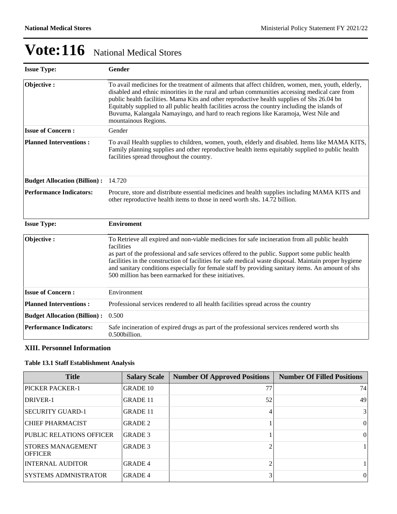| <b>Issue Type:</b>                  | <b>Gender</b>                                                                                                                                                                                                                                                                                                                                                                                                                                                                                                      |
|-------------------------------------|--------------------------------------------------------------------------------------------------------------------------------------------------------------------------------------------------------------------------------------------------------------------------------------------------------------------------------------------------------------------------------------------------------------------------------------------------------------------------------------------------------------------|
| Objective:                          | To avail medicines for the treatment of ailments that affect children, women, men, youth, elderly,<br>disabled and ethnic minorities in the rural and urban communities accessing medical care from<br>public health facilities. Mama Kits and other reproductive health supplies of Shs 26.04 bn<br>Equitably supplied to all public health facilities across the country including the islands of<br>Buvuma, Kalangala Namayingo, and hard to reach regions like Karamoja, West Nile and<br>mountainous Regions. |
| <b>Issue of Concern:</b>            | Gender                                                                                                                                                                                                                                                                                                                                                                                                                                                                                                             |
| <b>Planned Interventions:</b>       | To avail Health supplies to children, women, youth, elderly and disabled. Items like MAMA KITS,<br>Family planning supplies and other reproductive health items equitably supplied to public health<br>facilities spread throughout the country.                                                                                                                                                                                                                                                                   |
| <b>Budget Allocation (Billion):</b> | 14.720                                                                                                                                                                                                                                                                                                                                                                                                                                                                                                             |
| <b>Performance Indicators:</b>      | Procure, store and distribute essential medicines and health supplies including MAMA KITS and<br>other reproductive health items to those in need worth shs. 14.72 billion.                                                                                                                                                                                                                                                                                                                                        |
| <b>Issue Type:</b>                  | <b>Enviroment</b>                                                                                                                                                                                                                                                                                                                                                                                                                                                                                                  |
| Objective:                          | To Retrieve all expired and non-viable medicines for safe incineration from all public health<br>facilities<br>as part of the professional and safe services offered to the public. Support some public health<br>facilities in the construction of facilities for safe medical waste disposal. Maintain proper hygiene<br>and sanitary conditions especially for female staff by providing sanitary items. An amount of shs<br>500 million has been earmarked for these initiatives.                              |
| <b>Issue of Concern:</b>            | Environment                                                                                                                                                                                                                                                                                                                                                                                                                                                                                                        |
| <b>Planned Interventions:</b>       | Professional services rendered to all health facilities spread across the country                                                                                                                                                                                                                                                                                                                                                                                                                                  |
| <b>Budget Allocation (Billion):</b> | 0.500                                                                                                                                                                                                                                                                                                                                                                                                                                                                                                              |
| <b>Performance Indicators:</b>      | Safe incineration of expired drugs as part of the professional services rendered worth shs<br>0.500billion.                                                                                                                                                                                                                                                                                                                                                                                                        |

## **XIII. Personnel Information**

## **Table 13.1 Staff Establishment Analysis**

| <b>Title</b>                               | <b>Salary Scale</b> | <b>Number Of Approved Positions</b> | <b>Number Of Filled Positions</b> |
|--------------------------------------------|---------------------|-------------------------------------|-----------------------------------|
| <b>PICKER PACKER-1</b>                     | <b>GRADE 10</b>     | 77                                  | 74                                |
| DRIVER-1                                   | <b>GRADE 11</b>     | 52                                  | 49                                |
| <b>SECURITY GUARD-1</b>                    | <b>GRADE 11</b>     |                                     | $\frac{3}{3}$                     |
| <b>CHIEF PHARMACIST</b>                    | <b>GRADE 2</b>      |                                     | $\theta$                          |
| <b>PUBLIC RELATIONS OFFICER</b>            | <b>GRADE 3</b>      |                                     | $\vert$ 0                         |
| <b>STORES MANAGEMENT</b><br><b>OFFICER</b> | <b>GRADE 3</b>      |                                     |                                   |
| <b>INTERNAL AUDITOR</b>                    | <b>GRADE 4</b>      |                                     |                                   |
| ISYSTEMS ADMNISTRATOR                      | <b>GRADE 4</b>      |                                     | $\left($                          |